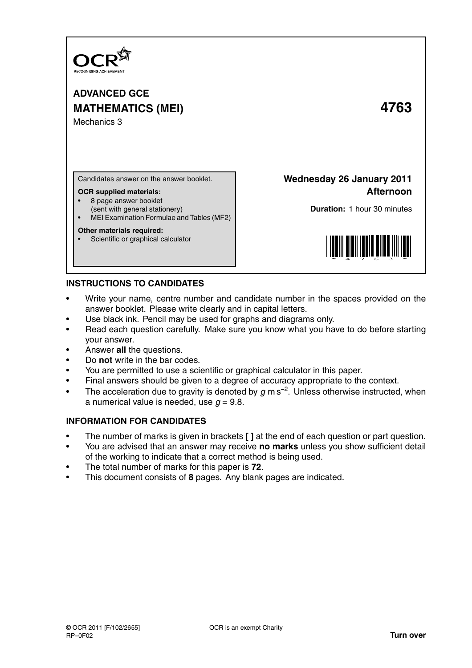

**ADVANCED GCE MATHEMATICS (MEI) 4763** Mechanics 3

Candidates answer on the answer booklet.

#### **OCR supplied materials:**

- 8 page answer booklet
- (sent with general stationery)
- MEI Examination Formulae and Tables (MF2)

#### **Other materials required:**

Scientific or graphical calculator

**Wednesday 26 January 2011 Afternoon**

**Duration:** 1 hour 30 minutes



## **INSTRUCTIONS TO CANDIDATES**

- Write your name, centre number and candidate number in the spaces provided on the answer booklet. Please write clearly and in capital letters.
- Use black ink. Pencil may be used for graphs and diagrams only.
- Read each question carefully. Make sure you know what you have to do before starting your answer.
- Answer **all** the questions.
- Do **not** write in the bar codes.
- You are permitted to use a scientific or graphical calculator in this paper.
- Final answers should be given to a degree of accuracy appropriate to the context.
- The acceleration due to gravity is denoted by  $g$  m s<sup>-2</sup>. Unless otherwise instructed, when a numerical value is needed, use  $q = 9.8$ .

#### **INFORMATION FOR CANDIDATES**

- The number of marks is given in brackets **[ ]** at the end of each question or part question.
- You are advised that an answer may receive **no marks** unless you show sufficient detail of the working to indicate that a correct method is being used.
- The total number of marks for this paper is **72**.
- This document consists of **8** pages. Any blank pages are indicated.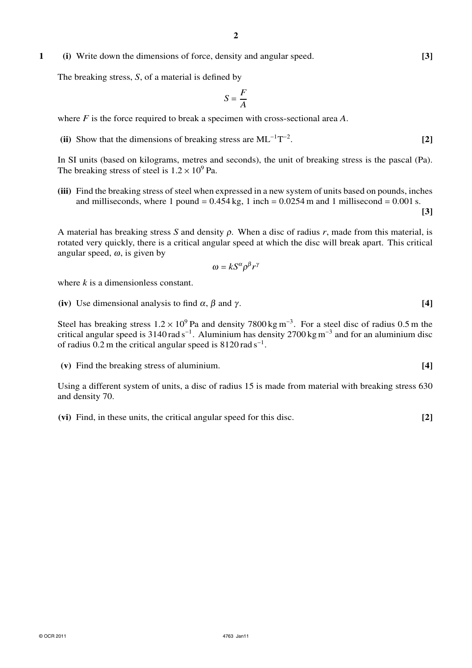## **1 (i)** Write down the dimensions of force, density and angular speed. **[3]**

The breaking stress, *S*, of a material is defined by

$$
S = \frac{F}{A}
$$

where *F* is the force required to break a specimen with cross-sectional area *A*.

(ii) Show that the dimensions of breaking stress are  $ML^{-1}T^{-2}$ . **[2]**

In SI units (based on kilograms, metres and seconds), the unit of breaking stress is the pascal (Pa). The breaking stress of steel is  $1.2 \times 10^9$  Pa.

**(iii)** Find the breaking stress of steel when expressed in a new system of units based on pounds, inches and milliseconds, where 1 pound =  $0.454$  kg, 1 inch =  $0.0254$  m and 1 millisecond =  $0.001$  s. **[3]**

A material has breaking stress *S* and density <sup>ρ</sup>. When a disc of radius *r*, made from this material, is rotated very quickly, there is a critical angular speed at which the disc will break apart. This critical angular speed,  $\omega$ , is given by

$$
\omega = kS^{\alpha}\rho^{\beta}r^{\gamma}
$$

where *k* is a dimensionless constant.

(iv) Use dimensional analysis to find  $\alpha$ ,  $\beta$  and  $\gamma$ . **[4]** 

Steel has breaking stress  $1.2 \times 10^9$  Pa and density 7800 kg m<sup>-3</sup>. For a steel disc of radius 0.5 m the critical angular speed is 3140 rad s<sup>-1</sup>. Aluminium has density 2700 kg m<sup>-3</sup> and for an aluminium disc of radius 0.2 m the critical angular speed is  $8120 \text{ rad s}^{-1}$ .

**(v)** Find the breaking stress of aluminium. **[4]**

Using a different system of units, a disc of radius 15 is made from material with breaking stress 630 and density 70.

**(vi)** Find, in these units, the critical angular speed for this disc. **[2]**

© OCR 2011 4763 Jan11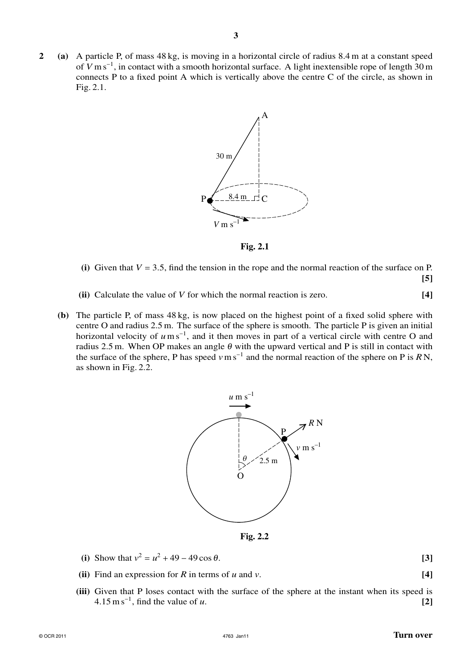**2 (a)** A particle P, of mass 48 kg, is moving in a horizontal circle of radius 8.4 m at a constant speed of *V* m s<sup>−1</sup>, in contact with a smooth horizontal surface. A light inextensible rope of length 30 m connects P to a fixed point A which is vertically above the centre C of the circle, as shown in Fig. 2.1.



**Fig. 2.1**

- (i) Given that  $V = 3.5$ , find the tension in the rope and the normal reaction of the surface on P. **[5]**
- **(ii)** Calculate the value of *V* for which the normal reaction is zero. **[4]**
- **(b)** The particle P, of mass 48 kg, is now placed on the highest point of a fixed solid sphere with centre O and radius 2.5 m. The surface of the sphere is smooth. The particle P is given an initial horizontal velocity of *u*m s<sup>-1</sup>, and it then moves in part of a vertical circle with centre O and radius 2.5 m. When OP makes an angle  $\theta$  with the upward vertical and P is still in contact with the surface of the sphere, P has speed *v*m s<sup>−</sup><sup>1</sup> and the normal reaction of the sphere on P is *R* N, as shown in Fig. 2.2.



**Fig. 2.2**

- **(i)** Show that  $v^2 = u^2 + 49 49 \cos \theta$ . **[3]**
- **(ii)** Find an expression for *R* in terms of *u* and *v*. **[4]**
- **(iii)** Given that P loses contact with the surface of the sphere at the instant when its speed is  $4.15 \text{ m s}^{-1}$ , find the value of *u*. **[2]**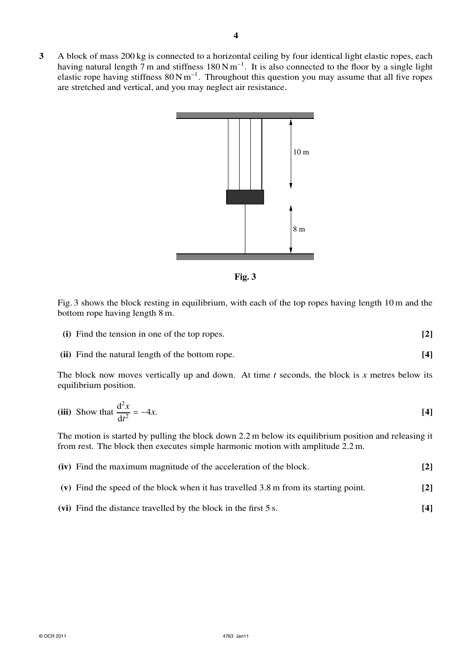**3** A block of mass 200 kg is connected to a horizontal ceiling by four identical light elastic ropes, each having natural length 7 m and stiffness  $180 \text{ N m}^{-1}$ . It is also connected to the floor by a single light elastic rope having stiffness  $80 \text{ N m}^{-1}$ . Throughout this question you may assume that all five ropes are stretched and vertical, and you may neglect air resistance.



**Fig. 3**

Fig. 3 shows the block resting in equilibrium, with each of the top ropes having length 10 m and the bottom rope having length 8 m.

- **(i)** Find the tension in one of the top ropes. **[2]**
- **(ii)** Find the natural length of the bottom rope. **[4]**

The block now moves vertically up and down. At time *t* seconds, the block is *x* metres below its equilibrium position.

(iii) Show that 
$$
\frac{d^2x}{dt^2} = -4x
$$
. [4]

The motion is started by pulling the block down 2.2 m below its equilibrium position and releasing it from rest. The block then executes simple harmonic motion with amplitude 2.2 m.

| (iv) Find the maximum magnitude of the acceleration of the block.                    |  |
|--------------------------------------------------------------------------------------|--|
| (v) Find the speed of the block when it has travelled 3.8 m from its starting point. |  |

**(vi)** Find the distance travelled by the block in the first 5 s. **[4]**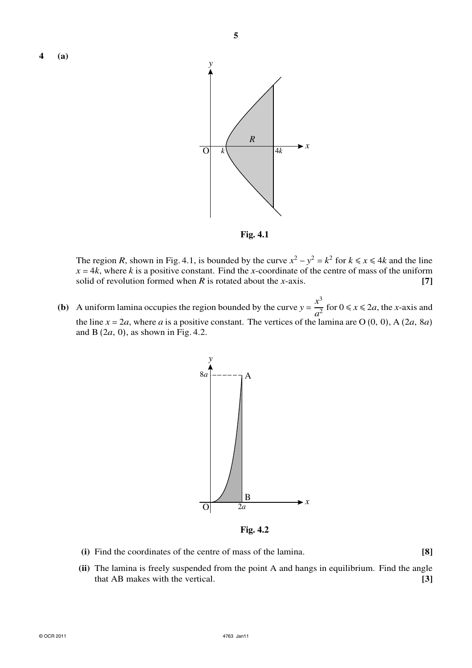**4 (a)**



**Fig. 4.1**

The region *R*, shown in Fig. 4.1, is bounded by the curve  $x^2 - y^2 = k^2$  for  $k \le x \le 4k$  and the line  $x = 4k$ , where *k* is a positive constant. Find the *x*-coordinate of the centre of mass of the uniform solid of revolution formed when *R* is rotated about the *x*-axis. **[7]**

**(b)** A uniform lamina occupies the region bounded by the curve  $y = \frac{x^3}{2}$  $\frac{x}{a^2}$  for  $0 \le x \le 2a$ , the *x*-axis and the line  $x = 2a$ , where *a* is a positive constant. The vertices of the lamina are O (0, 0), A (2*a*, 8*a*) and B(2*a*, 0), as shown in Fig. 4.2.



**Fig. 4.2**

- **(i)** Find the coordinates of the centre of mass of the lamina. **[8]**
- **(ii)** The lamina is freely suspended from the point A and hangs in equilibrium. Find the angle that AB makes with the vertical. **[3]**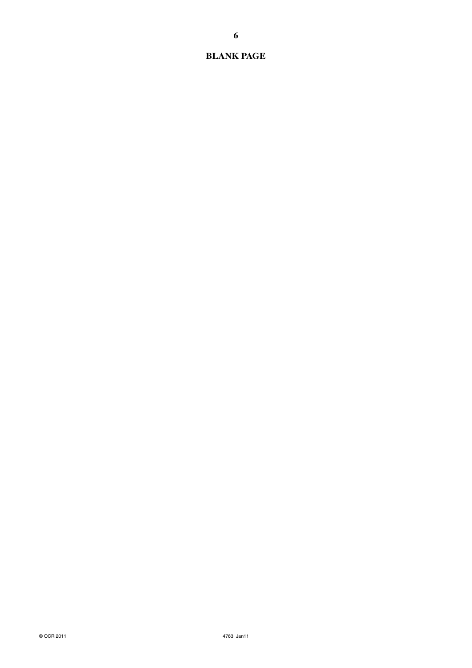# **BLANK PAGE**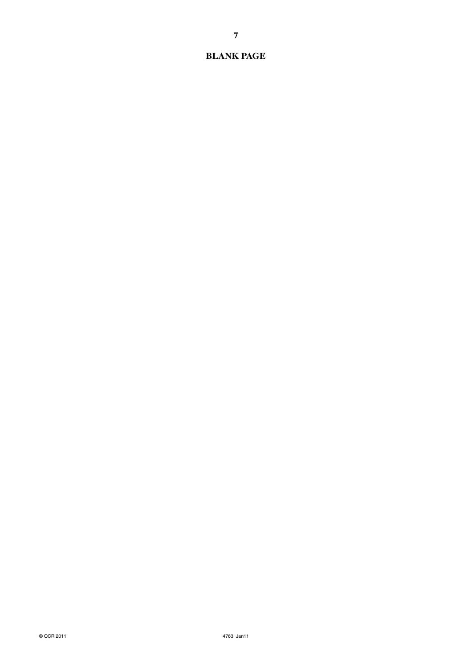# **BLANK PAGE**